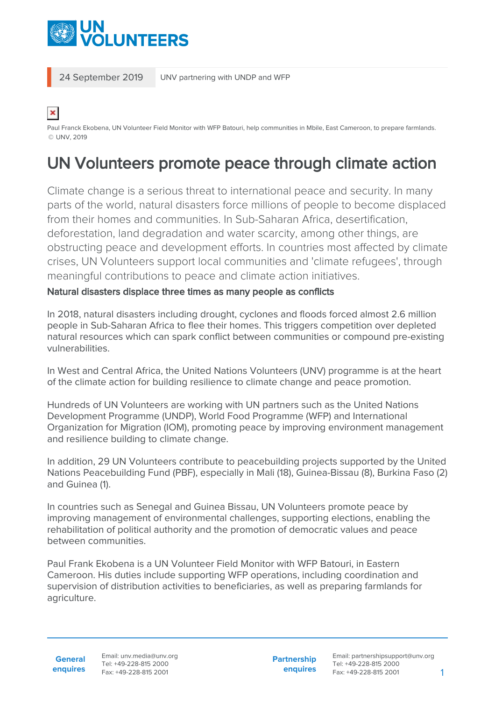

24 September 2019 UNV partnering with UNDP and WFP

×

Paul Franck Ekobena, UN Volunteer Field Monitor with WFP Batouri, help communities in Mbile, East Cameroon, to prepare farmlands. © UNV, 2019

# UN Volunteers promote peace through climate action

Climate change is a serious threat to international peace and security. In many parts of the world, natural disasters force millions of people to become displaced from their homes and communities. In Sub-Saharan Africa, desertification, deforestation, land degradation and water scarcity, among other things, are obstructing peace and development efforts. In countries most affected by climate crises, UN Volunteers support local communities and 'climate refugees', through meaningful contributions to peace and climate action initiatives.

### Natural disasters displace three times as many people as conflicts

In 2018, natural disasters including drought, cyclones and floods forced almost 2.6 million people in Sub-Saharan Africa to flee their homes. This triggers competition over depleted natural resources which can spark conflict between communities or compound pre-existing vulnerabilities.

In West and Central Africa, the United Nations Volunteers (UNV) programme is at the heart of the climate action for building resilience to climate change and peace promotion.

Hundreds of UN Volunteers are working with UN partners such as the United Nations Development Programme (UNDP), World Food Programme (WFP) and International Organization for Migration (IOM), promoting peace by improving environment management and resilience building to climate change.

In addition, 29 UN Volunteers contribute to peacebuilding projects supported by the United Nations Peacebuilding Fund (PBF), especially in Mali (18), Guinea-Bissau (8), Burkina Faso (2) and Guinea (1).

In countries such as Senegal and Guinea Bissau, UN Volunteers promote peace by improving management of environmental challenges, supporting elections, enabling the rehabilitation of political authority and the promotion of democratic values and peace between communities.

Paul Frank Ekobena is a UN Volunteer Field Monitor with WFP Batouri, in Eastern Cameroon. His duties include supporting WFP operations, including coordination and supervision of distribution activities to beneficiaries, as well as preparing farmlands for agriculture.

**General enquires** Email: unv.media@unv.org Tel: +49-228-815 2000 Fax: +49-228-815 2001

**Partnership enquires** Email: partnershipsupport@unv.org Tel: +49-228-815 2000 Fax: +49-228-815 2001 1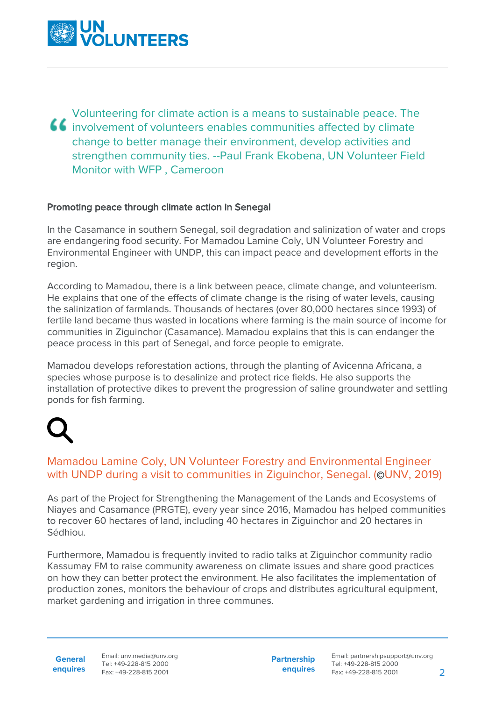

Volunteering for climate action is a means to sustainable peace. The  $\overline{\bullet}\overline{\bullet}$  involvement of volunteers enables communities affected by climate change to better manage their environment, develop activities and strengthen community ties. --Paul Frank Ekobena, UN Volunteer Field Monitor with WFP , Cameroon

### Promoting peace through climate action in Senegal

In the Casamance in southern Senegal, soil degradation and salinization of water and crops are endangering food security. For Mamadou Lamine Coly, UN Volunteer Forestry and Environmental Engineer with UNDP, this can impact peace and development efforts in the region.

According to Mamadou, there is a link between peace, climate change, and volunteerism. He explains that one of the effects of climate change is the rising of water levels, causing the salinization of farmlands. Thousands of hectares (over 80,000 hectares since 1993) of fertile land became thus wasted in locations where farming is the main source of income for communities in Ziguinchor (Casamance). Mamadou explains that this is can endanger the peace process in this part of Senegal, and force people to emigrate.

Mamadou develops reforestation actions, through the planting of Avicenna Africana, a species whose purpose is to desalinize and protect rice fields. He also supports the installation of protective dikes to prevent the progression of saline groundwater and settling ponds for fish farming.

### Mamadou Lamine Coly, UN Volunteer Forestry and Environmental Engineer with UNDP during a visit to communities in Ziguinchor, Senegal. (©UNV, 2019)

As part of the Project for Strengthening the Management of the Lands and Ecosystems of Niayes and Casamance (PRGTE), every year since 2016, Mamadou has helped communities to recover 60 hectares of land, including 40 hectares in Ziguinchor and 20 hectares in Sédhiou.

Furthermore, Mamadou is frequently invited to radio talks at Ziguinchor community radio Kassumay FM to raise community awareness on climate issues and share good practices on how they can better protect the environment. He also facilitates the implementation of production zones, monitors the behaviour of crops and distributes agricultural equipment, market gardening and irrigation in three communes.

**General enquires** Email: unv.media@unv.org Tel: +49-228-815 2000 Fax: +49-228-815 2001

**Partnership enquires**

Email: partnershipsupport@unv.org Tel: +49-228-815 2000 Fax: +49-228-815 2001 2